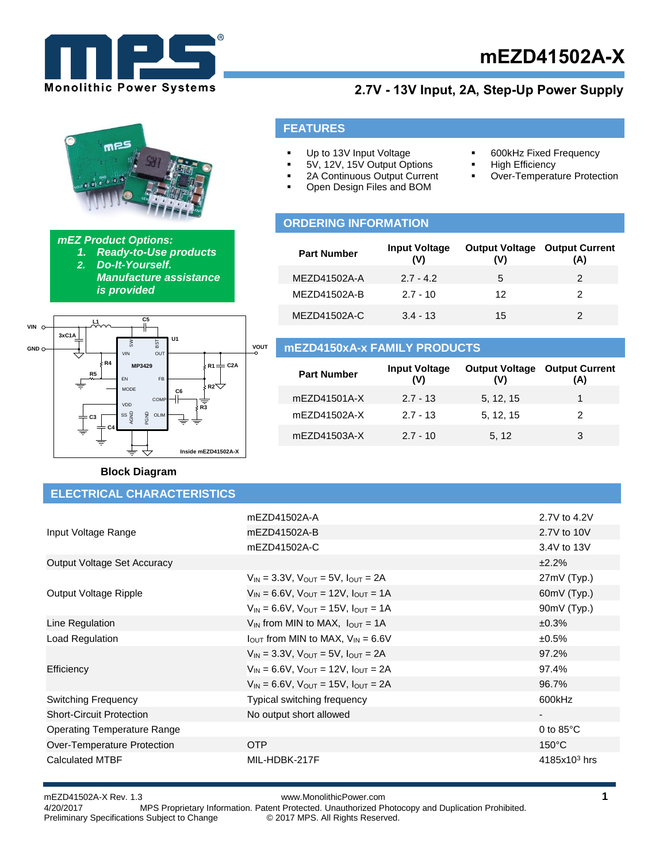

# **mEZD41502A-X**

**600kHz Fixed Frequency** 

Over-Temperature Protection

**-** High Efficiency

# **2.7V - 13V Input, 2A, Step-Up Power Supply**



#### *mEZ Product Options:*

- *1. Ready-to-Use products*
- *2. Do-It-Yourself. Manufacture assistance* 
	- *is provided*
		-



#### **Block Diagram**

## **ELECTRICAL CHARACTERISTICS**

# **ORDERING INFORMATION**

**FEATURES**

 Up to 13V Input Voltage 5V, 12V, 15V Output Options 2A Continuous Output Current Open Design Files and BOM

| <b>Part Number</b> | <b>Input Voltage</b><br>(V) | <b>Output Voltage</b><br>(V) | <b>Output Current</b><br>(A) |
|--------------------|-----------------------------|------------------------------|------------------------------|
| MEZD41502A-A       | $2.7 - 4.2$                 | 5                            | 2                            |
| MEZD41502A-B       | $2.7 - 10$                  | 12                           | 2                            |
| MEZD41502A-C       | $3.4 - 13$                  | 15                           |                              |

#### **mEZD4150xA-x FAMILY PRODUCTS**

| <b>Part Number</b> | <b>Input Voltage</b><br>(V) | <b>Output Voltage</b><br>(V) | <b>Output Current</b><br>(A) |
|--------------------|-----------------------------|------------------------------|------------------------------|
| mEZD41501A-X       | $2.7 - 13$                  | 5, 12, 15                    |                              |
| mEZD41502A-X       | $2.7 - 13$                  | 5, 12, 15                    | 2                            |
| mEZD41503A-X       | $2.7 - 10$                  | 5.12                         | 3                            |

|                                 | mEZD41502A-A                                             | 2.7V to 4.2V        |
|---------------------------------|----------------------------------------------------------|---------------------|
| Input Voltage Range             | mEZD41502A-B                                             | 2.7V to 10V         |
|                                 | mEZD41502A-C                                             | 3.4V to 13V         |
| Output Voltage Set Accuracy     |                                                          | ±2.2%               |
|                                 | $V_{IN} = 3.3V$ , $V_{OUT} = 5V$ , $I_{OUT} = 2A$        | 27mV (Typ.)         |
| Output Voltage Ripple           | $V_{IN} = 6.6V$ , $V_{OUT} = 12V$ , $I_{OUT} = 1A$       | 60mV (Typ.)         |
|                                 | $V_{IN} = 6.6V$ , $V_{OUT} = 15V$ , $I_{OUT} = 1A$       | $90mV$ (Typ.)       |
| Line Regulation                 | $V_{IN}$ from MIN to MAX, $I_{OUT} = 1A$                 | ±0.3%               |
| Load Regulation                 | $I_{\text{OUT}}$ from MIN to MAX, $V_{\text{IN}} = 6.6V$ | $±0.5\%$            |
|                                 | $V_{IN}$ = 3.3V, $V_{OIII}$ = 5V, $I_{OUIT}$ = 2A        | 97.2%               |
| Efficiency                      | $V_{IN} = 6.6V$ , $V_{OUT} = 12V$ , $I_{OUT} = 2A$       | 97.4%               |
|                                 | $V_{IN} = 6.6V$ , $V_{OUT} = 15V$ , $I_{OUT} = 2A$       | 96.7%               |
| <b>Switching Frequency</b>      | Typical switching frequency                              | 600kHz              |
| <b>Short-Circuit Protection</b> | No output short allowed                                  | $\sim$              |
| Operating Temperature Range     |                                                          | 0 to $85^{\circ}$ C |
| Over-Temperature Protection     | OTP                                                      | $150^{\circ}$ C     |
| <b>Calculated MTBF</b>          | MIL-HDBK-217F                                            | $4185x103$ hrs      |

#### mEZD41502A-X Rev. 1.3 www.MonolithicPower.com **1** MPS Proprietary Information. Patent Protected. Unauthorized Photocopy and Duplication Prohibited. Preliminary Specifications Subject to Change © 2017 MPS. All Rights Reserved.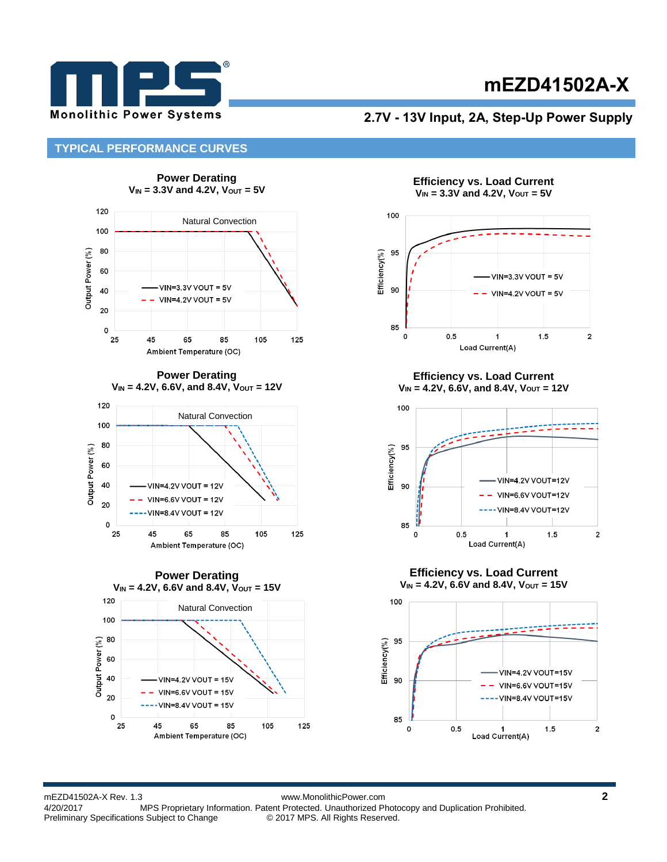

# **mEZD41502A-X**

#### **2.7V - 13V Input, 2A, Step-Up Power Supply**

#### **TYPICAL PERFORMANCE CURVES**





**Efficiency vs. Load Current**  $V_{IN} = 3.3V$  and 4.2V,  $V_{OUT} = 5V$ 



**Efficiency vs. Load Current VIN = 4.2V, 6.6V, and 8.4V, VOUT = 12V**



**Efficiency vs. Load Current**  $V_{IN} = 4.2V$ , 6.6V and 8.4V,  $V_{OUT} = 15V$ 



mEZD41502A-X Rev. 1.3 www.MonolithicPower.com **2** MPS Proprietary Information. Patent Protected. Unauthorized Photocopy and Duplication Prohibited. Preliminary Specifications Subject to Change © 2017 MPS. All Rights Reserved.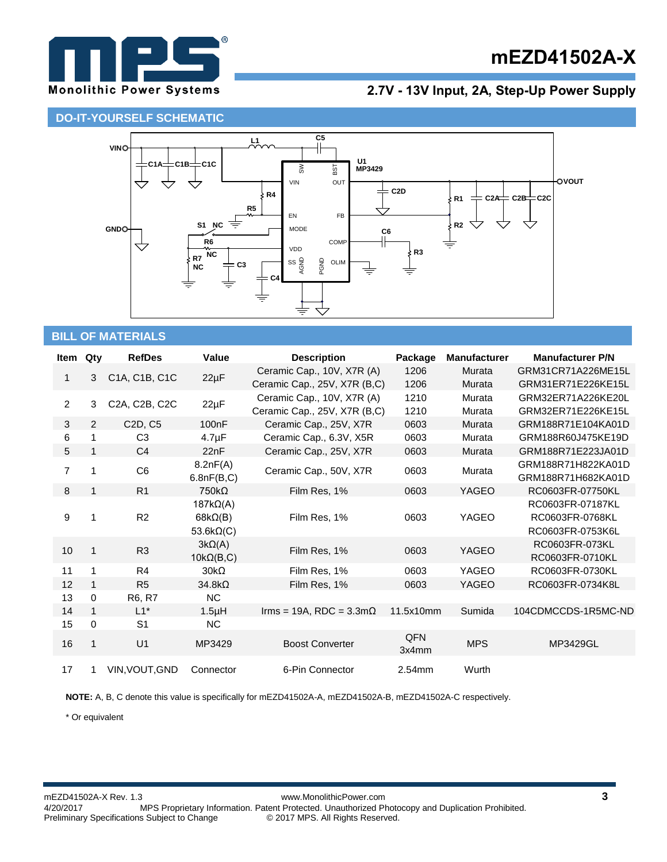

# **mEZD41502A-X**

## **2.7V - 13V Input, 2A, Step-Up Power Supply**

## **DO-IT-YOURSELF SCHEMATIC**



## **BILL OF MATERIALS**

| Item           | Qty          | <b>RefDes</b>                    | Value              | <b>Description</b>                     | Package   | <b>Manufacturer</b> | <b>Manufacturer P/N</b> |
|----------------|--------------|----------------------------------|--------------------|----------------------------------------|-----------|---------------------|-------------------------|
| $\mathbf{1}$   | 3            | C1A, C1B, C1C                    |                    | Ceramic Cap., 10V, X7R (A)             | 1206      | Murata              | GRM31CR71A226ME15L      |
|                |              |                                  | $22\mu F$          | Ceramic Cap., 25V, X7R (B,C)           | 1206      | Murata              | GRM31ER71E226KE15L      |
| $\overline{2}$ | 3            | C2A, C2B, C2C                    | $22\mu F$          | Ceramic Cap., 10V, X7R (A)             | 1210      | Murata              | GRM32ER71A226KE20L      |
|                |              |                                  |                    | Ceramic Cap., 25V, X7R (B,C)           | 1210      | Murata              | GRM32ER71E226KE15L      |
| 3              | 2            | C <sub>2</sub> D, C <sub>5</sub> | 100 <sub>n</sub> F | Ceramic Cap., 25V, X7R                 | 0603      | Murata              | GRM188R71E104KA01D      |
| 6              | 1            | C <sub>3</sub>                   | $4.7 \mu F$        | Ceramic Cap., 6.3V, X5R                | 0603      | Murata              | GRM188R60J475KE19D      |
| 5              | 1            | C <sub>4</sub>                   | 22nF               | Ceramic Cap., 25V, X7R                 | 0603      | Murata              | GRM188R71E223JA01D      |
|                |              |                                  | 8.2nF(A)           |                                        |           |                     | GRM188R71H822KA01D      |
| $\overline{7}$ | 1            | C <sub>6</sub>                   | 6.8nF(B,C)         | Ceramic Cap., 50V, X7R                 | 0603      | Murata              | GRM188R71H682KA01D      |
| 8              | $\mathbf{1}$ | R <sub>1</sub>                   | $750k\Omega$       | Film Res, 1%                           | 0603      | YAGEO               | RC0603FR-07750KL        |
|                |              |                                  | $187k\Omega(A)$    |                                        |           |                     | RC0603FR-07187KL        |
| 9              |              | R <sub>2</sub>                   | $68k\Omega(B)$     | Film Res, 1%                           | 0603      | YAGEO               | RC0603FR-0768KL         |
|                |              |                                  | 53.6 $k\Omega(C)$  |                                        |           |                     | RC0603FR-0753K6L        |
|                | 1            |                                  | $3k\Omega(A)$      |                                        | 0603      |                     | RC0603FR-073KL          |
| 10             |              | R <sub>3</sub>                   | $10k\Omega(B,C)$   | Film Res, 1%                           |           | YAGEO               | RC0603FR-0710KL         |
| 11             | 1            | R4                               | $30k\Omega$        | Film Res, 1%                           | 0603      | <b>YAGEO</b>        | RC0603FR-0730KL         |
| 12             | $\mathbf{1}$ | R <sub>5</sub>                   | $34.8k\Omega$      | Film Res, 1%                           | 0603      | YAGEO               | RC0603FR-0734K8L        |
| 13             | $\Omega$     | R6, R7                           | <b>NC</b>          |                                        |           |                     |                         |
| 14             | 1            | $L1^*$                           | 1.5 <sub>µ</sub> H | Irms = 19A, RDC = $3.3 \text{m}\Omega$ | 11.5x10mm | Sumida              | 104CDMCCDS-1R5MC-ND     |
| 15             | 0            | S <sub>1</sub>                   | NC                 |                                        |           |                     |                         |
| 16             | 1            | U1                               | MP3429             | <b>Boost Converter</b>                 | QFN       | <b>MPS</b>          | MP3429GL                |
|                |              |                                  |                    |                                        | 3x4mm     |                     |                         |
| 17             | 1.           | VIN, VOUT, GND                   | Connector          | 6-Pin Connector                        | 2.54mm    | Wurth               |                         |

**NOTE:** A, B, C denote this value is specifically for mEZD41502A-A, mEZD41502A-B, mEZD41502A-C respectively.

\* Or equivalent